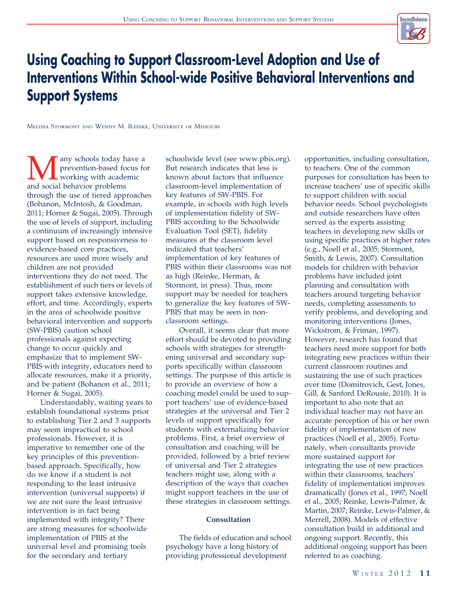

# Using Coaching to Support Classroom-Level Adoption and Use of Interventions Within School-wide Positive Behavioral Interventions and Support Systems

Melissa Stormont AND Wendy M. Reinke, University of Missouri

**M** any schools today have a prevention-based focus for working with academic and social behavior problems prevention-based focus for working with academic and social behavior problems through the use of tiered approaches (Bohanon, McIntosh, & Goodman, 2011; Horner & Sugai, 2005). Through the use of levels of support, including a continuum of increasingly intensive support based on responsiveness to evidence-based core practices, resources are used more wisely and children are not provided interventions they do not need. The establishment of such tiers or levels of support takes extensive knowledge, effort, and time. Accordingly, experts in the area of schoolwide positive behavioral intervention and supports (SW-PBIS) caution school professionals against expecting change to occur quickly and emphasize that to implement SW-PBIS with integrity, educators need to allocate resources, make it a priority, and be patient (Bohanon et al., 2011; Horner & Sugai, 2005).

Understandably, waiting years to establish foundational systems prior to establishing Tier 2 and 3 supports may seem impractical to school professionals. However, it is imperative to remember one of the key principles of this preventionbased approach. Specifically, how do we know if a student is not responding to the least intrusive intervention (universal supports) if we are not sure the least intrusive intervention is in fact being implemented with integrity? There are strong measures for schoolwide implementation of PBIS at the universal level and promising tools for the secondary and tertiary

schoolwide level (see www.pbis.org). But research indicates that less is known about factors that influence classroom-level implementation of key features of SW-PBIS. For example, in schools with high levels of implementation fidelity of SW-PBIS according to the Schoolwide Evaluation Tool (SET), fidelity measures at the classroom level indicated that teachers' implementation of key features of PBIS within their classrooms was not as high (Reinke, Herman, & Stormont, in press). Thus, more support may be needed for teachers to generalize the key features of SW-PBIS that may be seen in nonclassroom settings.

Overall, it seems clear that more effort should be devoted to providing schools with strategies for strengthening universal and secondary supports specifically within classroom settings. The purpose of this article is to provide an overview of how a coaching model could be used to support teachers' use of evidence-based strategies at the universal and Tier 2 levels of support specifically for students with externalizing behavior problems. First, a brief overview of consultation and coaching will be provided, followed by a brief review of universal and Tier 2 strategies teachers might use, along with a description of the ways that coaches might support teachers in the use of these strategies in classroom settings.

#### Consultation

The fields of education and school psychology have a long history of providing professional development

opportunities, including consultation, to teachers. One of the common purposes for consultation has been to increase teachers' use of specific skills to support children with social behavior needs. School psychologists and outside researchers have often served as the experts assisting teachers in developing new skills or using specific practices at higher rates (e.g., Noell et al., 2005; Stormont, Smith, & Lewis, 2007). Consultation models for children with behavior problems have included joint planning and consultation with teachers around targeting behavior needs, completing assessments to verify problems, and developing and monitoring interventions (Jones, Wickstrom, & Friman, 1997). However, research has found that teachers need more support for both integrating new practices within their current classroom routines and sustaining the use of such practices over time (Domitrovich, Gest, Jones, Gill, & Sanford DeRousie, 2010). It is important to also note that an individual teacher may not have an accurate perception of his or her own fidelity of implementation of new practices (Noell et al., 2005). Fortunately, when consultants provide more sustained support for integrating the use of new practices within their classrooms, teachers' fidelity of implementation improves dramatically (Jones et al., 1997; Noell et al., 2005; Reinke, Lewis-Palmer, & Martin, 2007; Reinke, Lewis-Palmer, & Merrell, 2008). Models of effective consultation build in additional and ongoing support. Recently, this additional ongoing support has been referred to as coaching.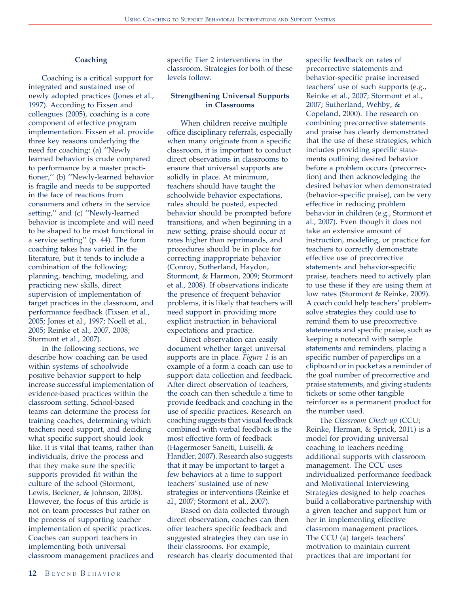#### Coaching

Coaching is a critical support for integrated and sustained use of newly adopted practices (Jones et al., 1997). According to Fixsen and colleagues (2005), coaching is a core component of effective program implementation. Fixsen et al. provide three key reasons underlying the need for coaching: (a) ''Newly learned behavior is crude compared to performance by a master practitioner,'' (b) ''Newly-learned behavior is fragile and needs to be supported in the face of reactions from consumers and others in the service setting,'' and (c) ''Newly-learned behavior is incomplete and will need to be shaped to be most functional in a service setting'' (p. 44). The form coaching takes has varied in the literature, but it tends to include a combination of the following: planning, teaching, modeling, and practicing new skills, direct supervision of implementation of target practices in the classroom, and performance feedback (Fixsen et al., 2005; Jones et al., 1997; Noell et al., 2005; Reinke et al., 2007, 2008; Stormont et al., 2007).

In the following sections, we describe how coaching can be used within systems of schoolwide positive behavior support to help increase successful implementation of evidence-based practices within the classroom setting. School-based teams can determine the process for training coaches, determining which teachers need support, and deciding what specific support should look like. It is vital that teams, rather than individuals, drive the process and that they make sure the specific supports provided fit within the culture of the school (Stormont, Lewis, Beckner, & Johnson, 2008). However, the focus of this article is not on team processes but rather on the process of supporting teacher implementation of specific practices. Coaches can support teachers in implementing both universal classroom management practices and

specific Tier 2 interventions in the classroom. Strategies for both of these levels follow.

#### Strengthening Universal Supports in Classrooms

When children receive multiple office disciplinary referrals, especially when many originate from a specific classroom, it is important to conduct direct observations in classrooms to ensure that universal supports are solidly in place. At minimum, teachers should have taught the schoolwide behavior expectations, rules should be posted, expected behavior should be prompted before transitions, and when beginning in a new setting, praise should occur at rates higher than reprimands, and procedures should be in place for correcting inappropriate behavior (Conroy, Sutherland, Haydon, Stormont, & Harmon, 2009; Stormont et al., 2008). If observations indicate the presence of frequent behavior problems, it is likely that teachers will need support in providing more explicit instruction in behavioral expectations and practice.

Direct observation can easily document whether target universal supports are in place. Figure 1 is an example of a form a coach can use to support data collection and feedback. After direct observation of teachers, the coach can then schedule a time to provide feedback and coaching in the use of specific practices. Research on coaching suggests that visual feedback combined with verbal feedback is the most effective form of feedback (Hagermoser Sanetti, Luiselli, & Handler, 2007). Research also suggests that it may be important to target a few behaviors at a time to support teachers' sustained use of new strategies or interventions (Reinke et al., 2007; Stormont et al., 2007).

Based on data collected through direct observation, coaches can then offer teachers specific feedback and suggested strategies they can use in their classrooms. For example, research has clearly documented that specific feedback on rates of precorrective statements and behavior-specific praise increased teachers' use of such supports (e.g., Reinke et al., 2007; Stormont et al., 2007; Sutherland, Wehby, & Copeland, 2000). The research on combining precorrective statements and praise has clearly demonstrated that the use of these strategies, which includes providing specific statements outlining desired behavior before a problem occurs (precorrection) and then acknowledging the desired behavior when demonstrated (behavior-specific praise), can be very effective in reducing problem behavior in children (e.g., Stormont et al., 2007). Even though it does not take an extensive amount of instruction, modeling, or practice for teachers to correctly demonstrate effective use of precorrective statements and behavior-specific praise, teachers need to actively plan to use these if they are using them at low rates (Stormont & Reinke, 2009). A coach could help teachers' problemsolve strategies they could use to remind them to use precorrective statements and specific praise, such as keeping a notecard with sample statements and reminders, placing a specific number of paperclips on a clipboard or in pocket as a reminder of the goal number of precorrective and praise statements, and giving students tickets or some other tangible reinforcer as a permanent product for the number used.

The Classroom Check-up (CCU; Reinke, Herman, & Sprick, 2011) is a model for providing universal coaching to teachers needing additional supports with classroom management. The CCU uses individualized performance feedback and Motivational Interviewing Strategies designed to help coaches build a collaborative partnership with a given teacher and support him or her in implementing effective classroom management practices. The CCU (a) targets teachers' motivation to maintain current practices that are important for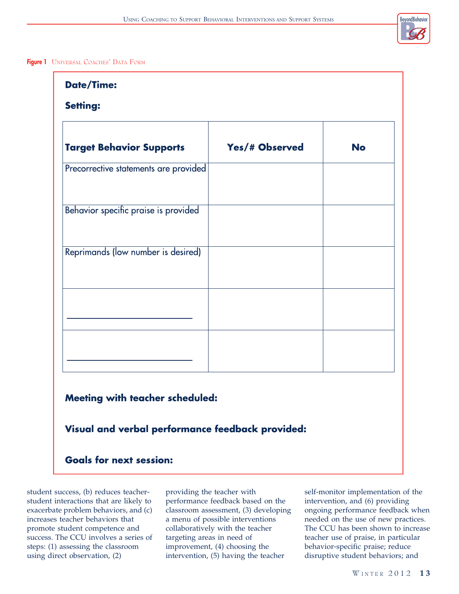# BeyondBehavior

## Figure 1 UNIVERSAL COACHES' DATA FORM

| <b>Date/Time:</b>                                |                |           |
|--------------------------------------------------|----------------|-----------|
| <b>Setting:</b>                                  |                |           |
|                                                  |                |           |
| <b>Target Behavior Supports</b>                  | Yes/# Observed | <b>No</b> |
| Precorrective statements are provided            |                |           |
|                                                  |                |           |
| Behavior specific praise is provided             |                |           |
|                                                  |                |           |
| Reprimands (low number is desired)               |                |           |
|                                                  |                |           |
|                                                  |                |           |
|                                                  |                |           |
|                                                  |                |           |
|                                                  |                |           |
|                                                  |                |           |
| <b>Meeting with teacher scheduled:</b>           |                |           |
| Visual and verbal performance feedback provided: |                |           |
| <b>Goals for next session:</b>                   |                |           |

student success, (b) reduces teacherstudent interactions that are likely to exacerbate problem behaviors, and (c) increases teacher behaviors that promote student competence and success. The CCU involves a series of steps: (1) assessing the classroom using direct observation, (2)

providing the teacher with performance feedback based on the classroom assessment, (3) developing a menu of possible interventions collaboratively with the teacher targeting areas in need of improvement, (4) choosing the intervention, (5) having the teacher

self-monitor implementation of the intervention, and (6) providing ongoing performance feedback when needed on the use of new practices. The CCU has been shown to increase teacher use of praise, in particular behavior-specific praise; reduce disruptive student behaviors; and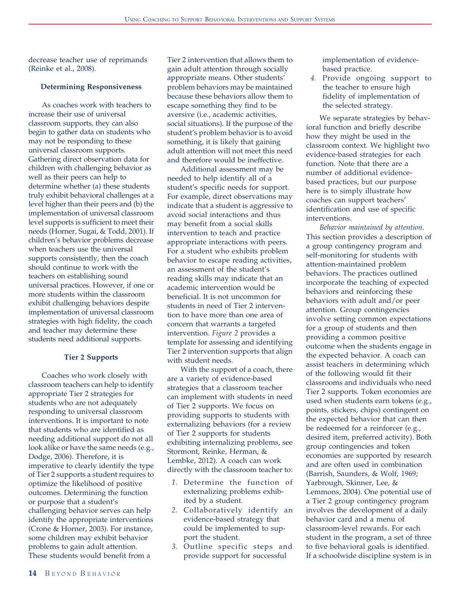decrease teacher use of reprimands (Reinke et al., 2008).

#### Determining Responsiveness

As coaches work with teachers to increase their use of universal classroom supports, they can also begin to gather data on students who may not be responding to these universal classroom supports. Gathering direct observation data for children with challenging behavior as well as their peers can help to determine whether (a) these students truly exhibit behavioral challenges at a level higher than their peers and (b) the implementation of universal classroom level supports is sufficient to meet their needs (Horner, Sugai, & Todd, 2001). If children's behavior problems decrease when teachers use the universal supports consistently, then the coach should continue to work with the teachers on establishing sound universal practices. However, if one or more students within the classroom exhibit challenging behaviors despite implementation of universal classroom strategies with high fidelity, the coach and teacher may determine these students need additional supports.

#### Tier 2 Supports

Coaches who work closely with classroom teachers can help to identify appropriate Tier 2 strategies for students who are not adequately responding to universal classroom interventions. It is important to note that students who are identified as needing additional support do not all look alike or have the same needs (e.g., Dodge, 2006). Therefore, it is imperative to clearly identify the type of Tier 2 supports a student requires to optimize the likelihood of positive outcomes. Determining the function or purpose that a student's challenging behavior serves can help identify the appropriate interventions (Crone & Horner, 2003). For instance, some children may exhibit behavior problems to gain adult attention. These students would benefit from a

Tier 2 intervention that allows them to gain adult attention through socially appropriate means. Other students' problem behaviors may be maintained because these behaviors allow them to escape something they find to be aversive (i.e., academic activities, social situations). If the purpose of the student's problem behavior is to avoid something, it is likely that gaining adult attention will not meet this need and therefore would be ineffective.

Additional assessment may be needed to help identify all of a student's specific needs for support. For example, direct observations may indicate that a student is aggressive to avoid social interactions and thus may benefit from a social skills intervention to teach and practice appropriate interactions with peers. For a student who exhibits problem behavior to escape reading activities, an assessment of the student's reading skills may indicate that an academic intervention would be beneficial. It is not uncommon for students in need of Tier 2 intervention to have more than one area of concern that warrants a targeted intervention. Figure 2 provides a template for assessing and identifying Tier 2 intervention supports that align with student needs.

With the support of a coach, there are a variety of evidence-based strategies that a classroom teacher can implement with students in need of Tier 2 supports. We focus on providing supports to students with externalizing behaviors (for a review of Tier 2 supports for students exhibiting internalizing problems, see Stormont, Reinke, Herman, & Lembke, 2012). A coach can work directly with the classroom teacher to:

- 1. Determine the function of externalizing problems exhibited by a student.
- 2. Collaboratively identify an evidence-based strategy that could be implemented to support the student.
- 3. Outline specific steps and provide support for successful

implementation of evidencebased practice.

4. Provide ongoing support to the teacher to ensure high fidelity of implementation of the selected strategy.

We separate strategies by behavioral function and briefly describe how they might be used in the classroom context. We highlight two evidence-based strategies for each function. Note that there are a number of additional evidencebased practices, but our purpose here is to simply illustrate how coaches can support teachers' identification and use of specific interventions.

Behavior maintained by attention. This section provides a description of a group contingency program and self-monitoring for students with attention-maintained problem behaviors. The practices outlined incorporate the teaching of expected behaviors and reinforcing these behaviors with adult and/or peer attention. Group contingencies involve setting common expectations for a group of students and then providing a common positive outcome when the students engage in the expected behavior. A coach can assist teachers in determining which of the following would fit their classrooms and individuals who need Tier 2 supports. Token economies are used when students earn tokens (e.g., points, stickers, chips) contingent on the expected behavior that can then be redeemed for a reinforcer (e.g., desired item, preferred activity). Both group contingencies and token economies are supported by research and are often used in combination (Barrish, Saunders, & Wolf, 1969; Yarbrough, Skinner, Lee, & Lemmons, 2004). One potential use of a Tier 2 group contingency program involves the development of a daily behavior card and a menu of classroom-level rewards. For each student in the program, a set of three to five behavioral goals is identified. If a schoolwide discipline system is in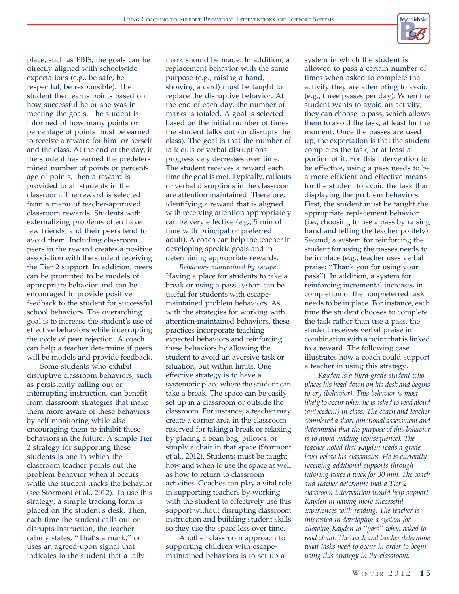place, such as PBIS, the goals can be directly aligned with schoolwide expectations (e.g., be safe, be respectful, be responsible). The student then earns points based on how successful he or she was in meeting the goals. The student is informed of how many points or percentage of points must be earned to receive a reward for him- or herself and the class. At the end of the day, if the student has earned the predetermined number of points or percentage of points, then a reward is provided to all students in the classroom. The reward is selected from a menu of teacher-approved classroom rewards. Students with externalizing problems often have few friends, and their peers tend to avoid them. Including classroom peers in the reward creates a positive association with the student receiving the Tier 2 support. In addition, peers can be prompted to be models of appropriate behavior and can be encouraged to provide positive feedback to the student for successful school behaviors. The overarching goal is to increase the student's use of effective behaviors while interrupting the cycle of peer rejection. A coach can help a teacher determine if peers will be models and provide feedback.

Some students who exhibit disruptive classroom behaviors, such as persistently calling out or interrupting instruction, can benefit from classroom strategies that make them more aware of these behaviors by self-monitoring while also encouraging them to inhibit these behaviors in the future. A simple Tier 2 strategy for supporting these students is one in which the classroom teacher points out the problem behavior when it occurs while the student tracks the behavior (see Stormont et al., 2012). To use this strategy, a simple tracking form is placed on the student's desk. Then, each time the student calls out or disrupts instruction, the teacher calmly states, ''That's a mark,'' or uses an agreed-upon signal that indicates to the student that a tally

mark should be made. In addition, a replacement behavior with the same purpose (e.g., raising a hand, showing a card) must be taught to replace the disruptive behavior. At the end of each day, the number of marks is totaled. A goal is selected based on the initial number of times the student talks out (or disrupts the class). The goal is that the number of talk-outs or verbal disruptions progressively decreases over time. The student receives a reward each time the goal is met. Typically, callouts or verbal disruptions in the classroom are attention maintained. Therefore, identifying a reward that is aligned with receiving attention appropriately can be very effective (e.g., 5 min of time with principal or preferred adult). A coach can help the teacher in developing specific goals and in determining appropriate rewards.

Behaviors maintained by escape. Having a place for students to take a break or using a pass system can be useful for students with escapemaintained problem behaviors. As with the strategies for working with attention-maintained behaviors, these practices incorporate teaching expected behaviors and reinforcing these behaviors by allowing the student to avoid an aversive task or situation, but within limits. One effective strategy is to have a systematic place where the student can take a break. The space can be easily set up in a classroom or outside the classroom. For instance, a teacher may create a corner area in the classroom reserved for taking a break or relaxing by placing a bean bag, pillows, or simply a chair in that space (Stormont et al., 2012). Students must be taught how and when to use the space as well as how to return to classroom activities. Coaches can play a vital role in supporting teachers by working with the student to effectively use this support without disrupting classroom instruction and building student skills so they use the space less over time.

Another classroom approach to supporting children with escapemaintained behaviors is to set up a

system in which the student is allowed to pass a certain number of times when asked to complete the activity they are attempting to avoid (e.g., three passes per day). When the student wants to avoid an activity, they can choose to pass, which allows them to avoid the task, at least for the moment. Once the passes are used up, the expectation is that the student completes the task, or at least a portion of it. For this intervention to be effective, using a pass needs to be a more efficient and effective means for the student to avoid the task than displaying the problem behaviors. First, the student must be taught the appropriate replacement behavior (i.e., choosing to use a pass by raising hand and telling the teacher politely). Second, a system for reinforcing the student for using the passes needs to be in place (e.g., teacher uses verbal praise: ''Thank you for using your pass''). In addition, a system for reinforcing incremental increases in completion of the nonpreferred task needs to be in place. For instance, each time the student chooses to complete the task rather than use a pass, the student receives verbal praise in combination with a point that is linked to a reward. The following case illustrates how a coach could support a teacher in using this strategy.

Kayden is a third-grade student who places his head down on his desk and begins to cry (behavior). This behavior is most likely to occur when he is asked to read aloud (antecedent) in class. The coach and teacher completed a short functional assessment and determined that the purpose of this behavior is to avoid reading (consequence). The teacher noted that Kayden reads a grade level below his classmates. He is currently receiving additional supports through tutoring twice a week for 30 min. The coach and teacher determine that a Tier 2 classroom intervention would help support Kayden in having more successful experiences with reading. The teacher is interested in developing a system for allowing Kayden to ''pass'' when asked to read aloud. The coach and teacher determine what tasks need to occur in order to begin using this strategy in the classroom.

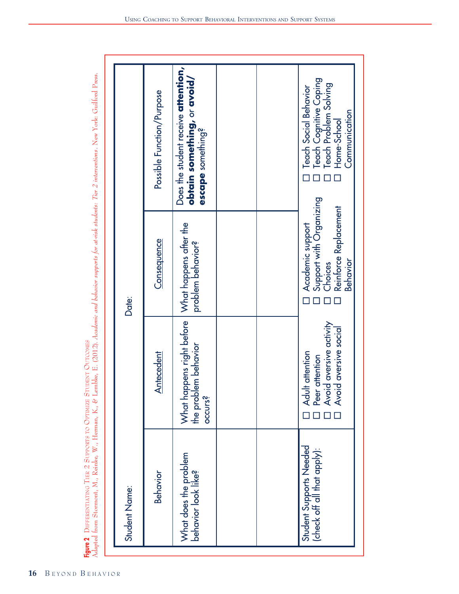**DIFFERENTIATING** TIER 2 SUPPORTS TO OPTIMIZE STUDENT **OUTCOMES** 

**Figure 2** DIFFERENTIATING TIER 2 SUPPORTS TO OPTIMIZE STUDENT OUTCOMES<br>Adapted from Stormont, M., Reinke, W., Herman, K., & Lembke, E. (2012). Academic and behavior supports for at-risk students: Tier 2 interventions. New Adapted from Stormont, M., Reinke, W., Herman, K., & Lembke, E. (2012). Academic and behavior supports for at-risk students: Tier 2 interventions. New York: Guilford Press.

| Date:         | Possible Function/Purpose<br>Consequence<br>Antecedent | Does the student receive attention,<br>obtain something, or avoid/<br>escape something?<br>What happens after the<br>problem behavior?<br>What happens right before<br>lem behavior<br>the prob<br>occurs? |  | Teach Cognitive Coping<br>Teach Problem Solving<br><b>Teach Social Behavior</b><br>Communication<br>Home-School<br>Support with Organizing<br>Reinforce Replacement<br>Academic support<br>Behavior<br>Choices<br>] Adult attention<br>] Peer attention<br>] Avoid aversive activity<br>] Avoid aversive social |
|---------------|--------------------------------------------------------|------------------------------------------------------------------------------------------------------------------------------------------------------------------------------------------------------------|--|-----------------------------------------------------------------------------------------------------------------------------------------------------------------------------------------------------------------------------------------------------------------------------------------------------------------|
| Student Name: | <b>Behavior</b>                                        | What does the problem<br>behavior look like?                                                                                                                                                               |  | <b>Student Supports Needed</b><br>(check off all that apply):                                                                                                                                                                                                                                                   |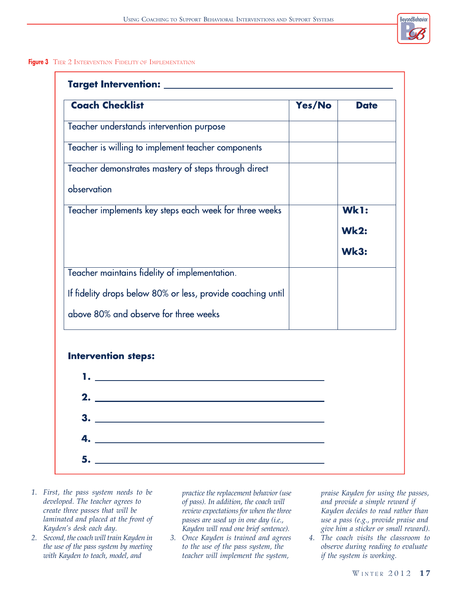

## Figure 3 TIER 2 INTERVENTION FIDELITY OF IMPLEMENTATION

| <b>Coach Checklist</b>                                                                                                                                                                                                            | Yes/No | <b>Date</b> |
|-----------------------------------------------------------------------------------------------------------------------------------------------------------------------------------------------------------------------------------|--------|-------------|
| Teacher understands intervention purpose                                                                                                                                                                                          |        |             |
| Teacher is willing to implement teacher components                                                                                                                                                                                |        |             |
| Teacher demonstrates mastery of steps through direct                                                                                                                                                                              |        |             |
| observation                                                                                                                                                                                                                       |        |             |
| Teacher implements key steps each week for three weeks                                                                                                                                                                            |        | Wk1:        |
|                                                                                                                                                                                                                                   |        | <b>Wk2:</b> |
|                                                                                                                                                                                                                                   |        | <b>Wk3:</b> |
| Teacher maintains fidelity of implementation.                                                                                                                                                                                     |        |             |
| If fidelity drops below 80% or less, provide coaching until                                                                                                                                                                       |        |             |
| above 80% and observe for three weeks                                                                                                                                                                                             |        |             |
| <b>Intervention steps:</b>                                                                                                                                                                                                        |        |             |
| $\mathbf{1.}$ . The contract of the contract of the contract of the contract of the contract of the contract of the contract of the contract of the contract of the contract of the contract of the contract of the contract of t |        |             |
|                                                                                                                                                                                                                                   |        |             |
|                                                                                                                                                                                                                                   |        |             |
| <u> 1980 - Johann Barbara, martin amerikan basal da</u><br>4.                                                                                                                                                                     |        |             |
| 5.                                                                                                                                                                                                                                |        |             |

- 1. First, the pass system needs to be developed. The teacher agrees to create three passes that will be laminated and placed at the front of Kayden's desk each day.
- 2. Second, the coach will train Kayden in the use of the pass system by meeting with Kayden to teach, model, and

practice the replacement behavior (use of pass). In addition, the coach will review expectations for when the three passes are used up in one day (i.e., Kayden will read one brief sentence).

3. Once Kayden is trained and agrees to the use of the pass system, the teacher will implement the system,

praise Kayden for using the passes, and provide a simple reward if Kayden decides to read rather than use a pass (e.g., provide praise and give him a sticker or small reward).

4. The coach visits the classroom to observe during reading to evaluate if the system is working.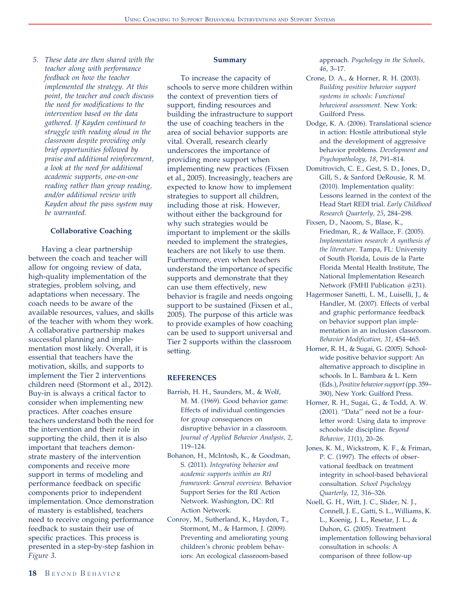5. These data are then shared with the teacher along with performance feedback on how the teacher implemented the strategy. At this point, the teacher and coach discuss the need for modifications to the intervention based on the data gathered. If Kayden continued to struggle with reading aloud in the classroom despite providing only brief opportunities followed by praise and additional reinforcement, a look at the need for additional academic supports, one-on-one reading rather than group reading, and/or additional review with Kayden about the pass system may be warranted.

#### Collaborative Coaching

Having a clear partnership between the coach and teacher will allow for ongoing review of data, high-quality implementation of the strategies, problem solving, and adaptations when necessary. The coach needs to be aware of the available resources, values, and skills of the teacher with whom they work. A collaborative partnership makes successful planning and implementation most likely. Overall, it is essential that teachers have the motivation, skills, and supports to implement the Tier 2 interventions children need (Stormont et al., 2012). Buy-in is always a critical factor to consider when implementing new practices. After coaches ensure teachers understand both the need for the intervention and their role in supporting the child, then it is also important that teachers demonstrate mastery of the intervention components and receive more support in terms of modeling and performance feedback on specific components prior to independent implementation. Once demonstration of mastery is established, teachers need to receive ongoing performance feedback to sustain their use of specific practices. This process is presented in a step-by-step fashion in Figure 3.

#### Summary

To increase the capacity of schools to serve more children within the context of prevention tiers of support, finding resources and building the infrastructure to support the use of coaching teachers in the area of social behavior supports are vital. Overall, research clearly underscores the importance of providing more support when implementing new practices (Fixsen et al., 2005). Increasingly, teachers are expected to know how to implement strategies to support all children, including those at risk. However, without either the background for why such strategies would be important to implement or the skills needed to implement the strategies, teachers are not likely to use them. Furthermore, even when teachers understand the importance of specific supports and demonstrate that they can use them effectively, new behavior is fragile and needs ongoing support to be sustained (Fixsen et al., 2005). The purpose of this article was to provide examples of how coaching can be used to support universal and Tier 2 supports within the classroom setting.

#### REFERENCES

- Barrish, H. H., Saunders, M., & Wolf, M. M. (1969). Good behavior game: Effects of individual contingencies for group consequences on disruptive behavior in a classroom. Journal of Applied Behavior Analysis, 2, 119–124.
- Bohanon, H., McIntosh, K., & Goodman, S. (2011). Integrating behavior and academic supports within an RtI framework: General overview. Behavior Support Series for the RtI Action Network. Washington, DC: RtI Action Network.
- Conroy, M., Sutherland, K., Haydon, T., Stormont, M., & Harmon, J. (2009). Preventing and ameliorating young children's chronic problem behaviors: An ecological classroom-based

approach. Psychology in the Schools, 46, 3–17.

- Crone, D. A., & Horner, R. H. (2003). Building positive behavior support systems in schools: Functional behavioral assessment. New York: Guilford Press.
- Dodge, K. A. (2006). Translational science in action: Hostile attributional style and the development of aggressive behavior problems. Development and Psychopathology, 18, 791–814.
- Domitrovich, C. E., Gest, S. D., Jones, D., Gill, S., & Sanford DeRousie, R. M. (2010). Implementation quality: Lessons learned in the context of the Head Start REDI trial. Early Childhood Research Quarterly, 25, 284–298.
- Fixsen, D., Naoom, S., Blase, K., Friedman, R., & Wallace, F. (2005). Implementation research: A synthesis of the literature. Tampa, FL: University of South Florida, Louis de la Parte Florida Mental Health Institute, The National Implementation Research Network (FMHI Publication #231).
- Hagermoser Sanetti, L. M., Luiselli, J., & Handler, M. (2007). Effects of verbal and graphic performance feedback on behavior support plan implementation in an inclusion classroom. Behavior Modification, 31, 454–465.
- Horner, R. H., & Sugai, G. (2005). Schoolwide positive behavior support: An alternative approach to discipline in schools. In L. Bambara & L. Kern (Eds.), Positive behavior support(pp. 359– 390), New York: Guilford Press.
- Horner, R. H., Sugai, G., & Todd, A. W. (2001). ''Data'' need not be a fourletter word: Using data to improve schoolwide discipline. Beyond Behavior, 11(1), 20–26.
- Jones, K. M., Wickstrom, K. F., & Friman, P. C. (1997). The effects of observational feedback on treatment integrity in school-based behavioral consultation. School Psychology Quarterly, 12, 316–326.
- Noell, G. H., Witt, J. C., Slider, N. J., Connell, J. E., Gatti, S. L., Williams, K. L., Koenig, J. L., Resetar, J. L., & Duhon, G. (2005). Treatment implementation following behavioral consultation in schools: A comparison of three follow-up